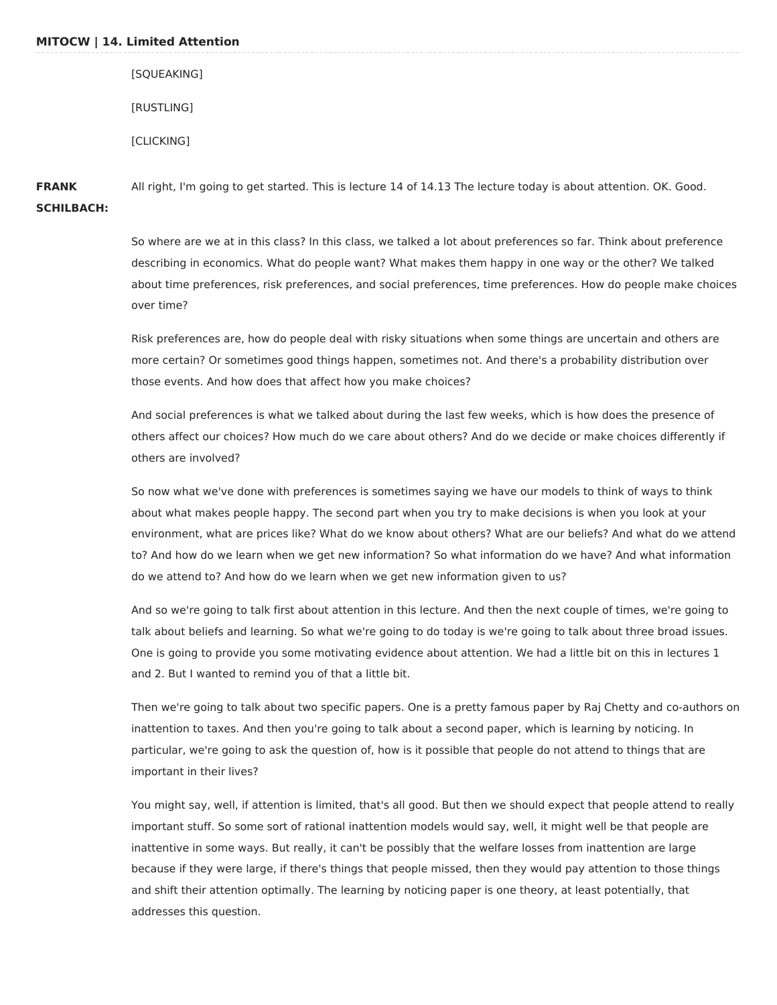## **MITOCW | 14. Limited Attention**

[SQUEAKING] [RUSTLING] [CLICKING]

**FRANK SCHILBACH:** All right, I'm going to get started. This is lecture 14 of 14.13 The lecture today is about attention. OK. Good.

> So where are we at in this class? In this class, we talked a lot about preferences so far. Think about preference describing in economics. What do people want? What makes them happy in one way or the other? We talked about time preferences, risk preferences, and social preferences, time preferences. How do people make choices over time?

Risk preferences are, how do people deal with risky situations when some things are uncertain and others are more certain? Or sometimes good things happen, sometimes not. And there's a probability distribution over those events. And how does that affect how you make choices?

And social preferences is what we talked about during the last few weeks, which is how does the presence of others affect our choices? How much do we care about others? And do we decide or make choices differently if others are involved?

So now what we've done with preferences is sometimes saying we have our models to think of ways to think about what makes people happy. The second part when you try to make decisions is when you look at your environment, what are prices like? What do we know about others? What are our beliefs? And what do we attend to? And how do we learn when we get new information? So what information do we have? And what information do we attend to? And how do we learn when we get new information given to us?

And so we're going to talk first about attention in this lecture. And then the next couple of times, we're going to talk about beliefs and learning. So what we're going to do today is we're going to talk about three broad issues. One is going to provide you some motivating evidence about attention. We had a little bit on this in lectures 1 and 2. But I wanted to remind you of that a little bit.

Then we're going to talk about two specific papers. One is a pretty famous paper by Raj Chetty and co-authors on inattention to taxes. And then you're going to talk about a second paper, which is learning by noticing. In particular, we're going to ask the question of, how is it possible that people do not attend to things that are important in their lives?

You might say, well, if attention is limited, that's all good. But then we should expect that people attend to really important stuff. So some sort of rational inattention models would say, well, it might well be that people are inattentive in some ways. But really, it can't be possibly that the welfare losses from inattention are large because if they were large, if there's things that people missed, then they would pay attention to those things and shift their attention optimally. The learning by noticing paper is one theory, at least potentially, that addresses this question.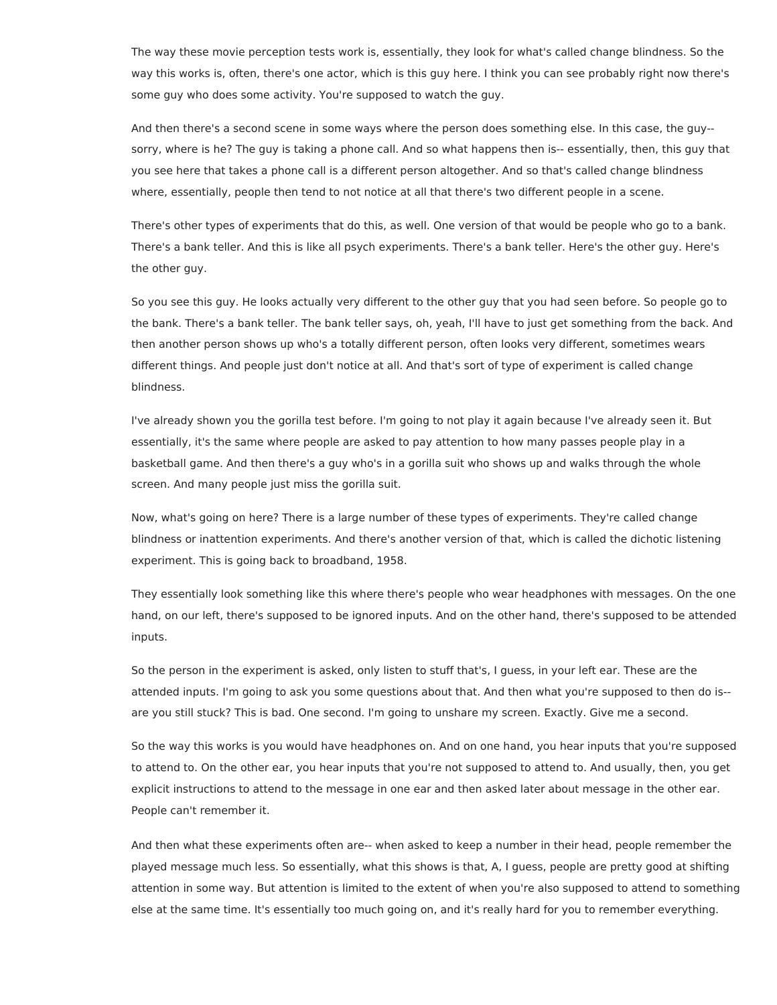The way these movie perception tests work is, essentially, they look for what's called change blindness. So the way this works is, often, there's one actor, which is this guy here. I think you can see probably right now there's some guy who does some activity. You're supposed to watch the guy.

And then there's a second scene in some ways where the person does something else. In this case, the guy- sorry, where is he? The guy is taking a phone call. And so what happens then is-- essentially, then, this guy that you see here that takes a phone call is a different person altogether. And so that's called change blindness where, essentially, people then tend to not notice at all that there's two different people in a scene.

There's other types of experiments that do this, as well. One version of that would be people who go to a bank. There's a bank teller. And this is like all psych experiments. There's a bank teller. Here's the other guy. Here's the other guy.

So you see this guy. He looks actually very different to the other guy that you had seen before. So people go to the bank. There's a bank teller. The bank teller says, oh, yeah, I'll have to just get something from the back. And then another person shows up who's a totally different person, often looks very different, sometimes wears different things. And people just don't notice at all. And that's sort of type of experiment is called change blindness.

I've already shown you the gorilla test before. I'm going to not play it again because I've already seen it. But essentially, it's the same where people are asked to pay attention to how many passes people play in a basketball game. And then there's a guy who's in a gorilla suit who shows up and walks through the whole screen. And many people just miss the gorilla suit.

Now, what's going on here? There is a large number of these types of experiments. They're called change blindness or inattention experiments. And there's another version of that, which is called the dichotic listening experiment. This is going back to broadband, 1958.

They essentially look something like this where there's people who wear headphones with messages. On the one hand, on our left, there's supposed to be ignored inputs. And on the other hand, there's supposed to be attended inputs.

So the person in the experiment is asked, only listen to stuff that's, I guess, in your left ear. These are the attended inputs. I'm going to ask you some questions about that. And then what you're supposed to then do is- are you still stuck? This is bad. One second. I'm going to unshare my screen. Exactly. Give me a second.

So the way this works is you would have headphones on. And on one hand, you hear inputs that you're supposed to attend to. On the other ear, you hear inputs that you're not supposed to attend to. And usually, then, you get explicit instructions to attend to the message in one ear and then asked later about message in the other ear. People can't remember it.

And then what these experiments often are-- when asked to keep a number in their head, people remember the played message much less. So essentially, what this shows is that, A, I guess, people are pretty good at shifting attention in some way. But attention is limited to the extent of when you're also supposed to attend to something else at the same time. It's essentially too much going on, and it's really hard for you to remember everything.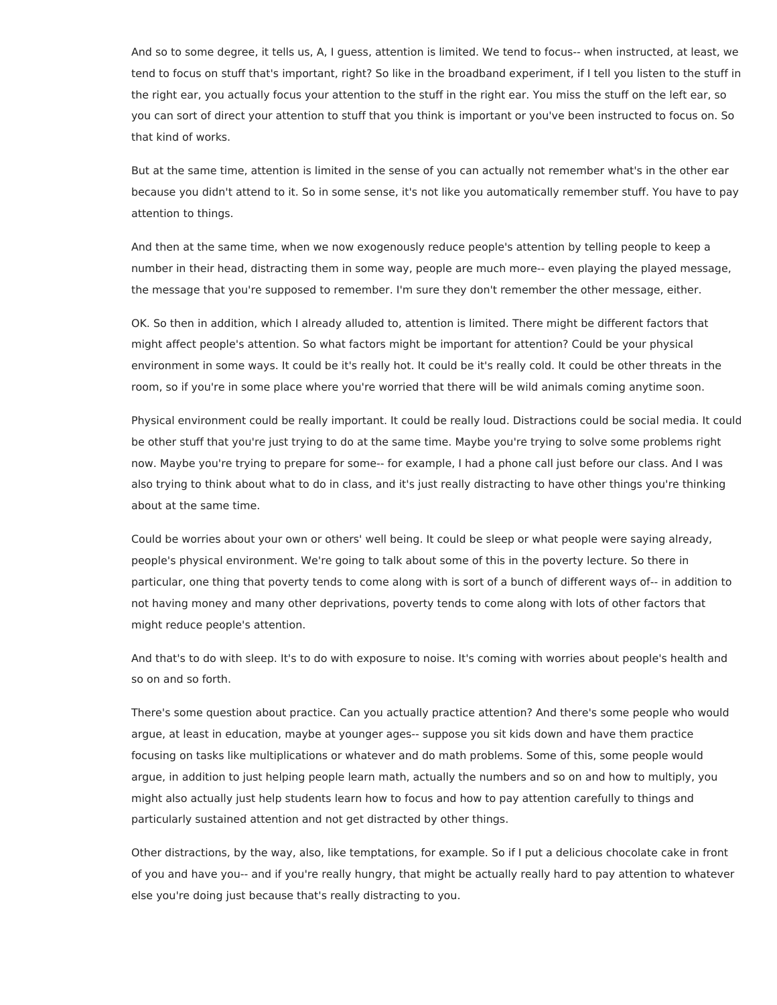And so to some degree, it tells us, A, I guess, attention is limited. We tend to focus-- when instructed, at least, we tend to focus on stuff that's important, right? So like in the broadband experiment, if I tell you listen to the stuff in the right ear, you actually focus your attention to the stuff in the right ear. You miss the stuff on the left ear, so you can sort of direct your attention to stuff that you think is important or you've been instructed to focus on. So that kind of works.

But at the same time, attention is limited in the sense of you can actually not remember what's in the other ear because you didn't attend to it. So in some sense, it's not like you automatically remember stuff. You have to pay attention to things.

And then at the same time, when we now exogenously reduce people's attention by telling people to keep a number in their head, distracting them in some way, people are much more-- even playing the played message, the message that you're supposed to remember. I'm sure they don't remember the other message, either.

OK. So then in addition, which I already alluded to, attention is limited. There might be different factors that might affect people's attention. So what factors might be important for attention? Could be your physical environment in some ways. It could be it's really hot. It could be it's really cold. It could be other threats in the room, so if you're in some place where you're worried that there will be wild animals coming anytime soon.

Physical environment could be really important. It could be really loud. Distractions could be social media. It could be other stuff that you're just trying to do at the same time. Maybe you're trying to solve some problems right now. Maybe you're trying to prepare for some-- for example, I had a phone call just before our class. And I was also trying to think about what to do in class, and it's just really distracting to have other things you're thinking about at the same time.

Could be worries about your own or others' well being. It could be sleep or what people were saying already, people's physical environment. We're going to talk about some of this in the poverty lecture. So there in particular, one thing that poverty tends to come along with is sort of a bunch of different ways of-- in addition to not having money and many other deprivations, poverty tends to come along with lots of other factors that might reduce people's attention.

And that's to do with sleep. It's to do with exposure to noise. It's coming with worries about people's health and so on and so forth.

There's some question about practice. Can you actually practice attention? And there's some people who would argue, at least in education, maybe at younger ages-- suppose you sit kids down and have them practice focusing on tasks like multiplications or whatever and do math problems. Some of this, some people would argue, in addition to just helping people learn math, actually the numbers and so on and how to multiply, you might also actually just help students learn how to focus and how to pay attention carefully to things and particularly sustained attention and not get distracted by other things.

Other distractions, by the way, also, like temptations, for example. So if I put a delicious chocolate cake in front of you and have you-- and if you're really hungry, that might be actually really hard to pay attention to whatever else you're doing just because that's really distracting to you.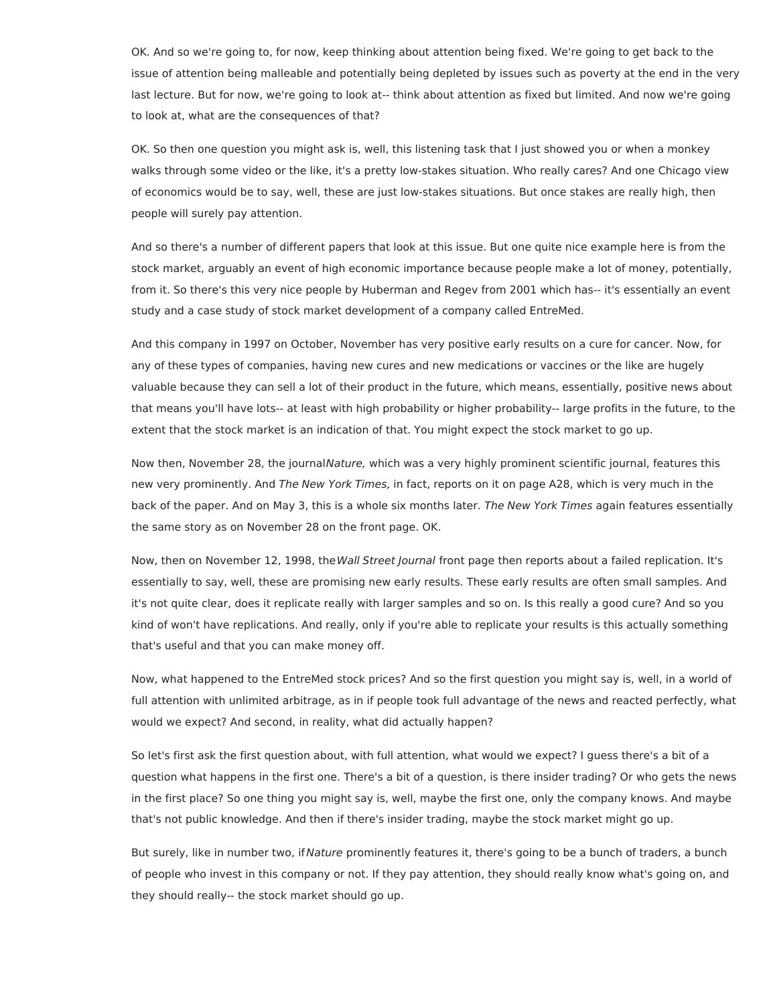OK. And so we're going to, for now, keep thinking about attention being fixed. We're going to get back to the issue of attention being malleable and potentially being depleted by issues such as poverty at the end in the very last lecture. But for now, we're going to look at-- think about attention as fixed but limited. And now we're going to look at, what are the consequences of that?

OK. So then one question you might ask is, well, this listening task that I just showed you or when a monkey walks through some video or the like, it's a pretty low-stakes situation. Who really cares? And one Chicago view of economics would be to say, well, these are just low-stakes situations. But once stakes are really high, then people will surely pay attention.

And so there's a number of different papers that look at this issue. But one quite nice example here is from the stock market, arguably an event of high economic importance because people make a lot of money, potentially, from it. So there's this very nice people by Huberman and Regev from 2001 which has-- it's essentially an event study and a case study of stock market development of a company called EntreMed.

And this company in 1997 on October, November has very positive early results on a cure for cancer. Now, for any of these types of companies, having new cures and new medications or vaccines or the like are hugely valuable because they can sell a lot of their product in the future, which means, essentially, positive news about that means you'll have lots-- at least with high probability or higher probability-- large profits in the future, to the extent that the stock market is an indication of that. You might expect the stock market to go up.

Now then, November 28, the journalNature, which was a very highly prominent scientific journal, features this new very prominently. And The New York Times, in fact, reports on it on page A28, which is very much in the back of the paper. And on May 3, this is a whole six months later. The New York Times again features essentially the same story as on November 28 on the front page. OK.

Now, then on November 12, 1998, the Wall Street Journal front page then reports about a failed replication. It's essentially to say, well, these are promising new early results. These early results are often small samples. And it's not quite clear, does it replicate really with larger samples and so on. Is this really a good cure? And so you kind of won't have replications. And really, only if you're able to replicate your results is this actually something that's useful and that you can make money off.

Now, what happened to the EntreMed stock prices? And so the first question you might say is, well, in a world of full attention with unlimited arbitrage, as in if people took full advantage of the news and reacted perfectly, what would we expect? And second, in reality, what did actually happen?

So let's first ask the first question about, with full attention, what would we expect? I guess there's a bit of a question what happens in the first one. There's a bit of a question, is there insider trading? Or who gets the news in the first place? So one thing you might say is, well, maybe the first one, only the company knows. And maybe that's not public knowledge. And then if there's insider trading, maybe the stock market might go up.

But surely, like in number two, if Nature prominently features it, there's going to be a bunch of traders, a bunch of people who invest in this company or not. If they pay attention, they should really know what's going on, and they should really-- the stock market should go up.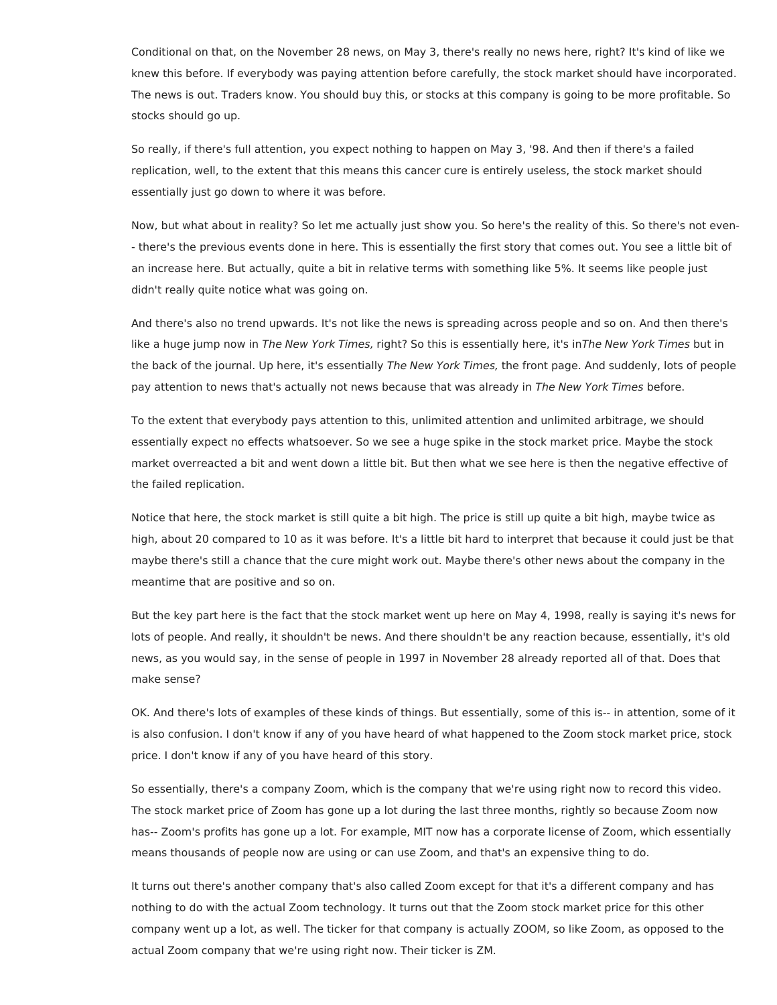Conditional on that, on the November 28 news, on May 3, there's really no news here, right? It's kind of like we knew this before. If everybody was paying attention before carefully, the stock market should have incorporated. The news is out. Traders know. You should buy this, or stocks at this company is going to be more profitable. So stocks should go up.

So really, if there's full attention, you expect nothing to happen on May 3, '98. And then if there's a failed replication, well, to the extent that this means this cancer cure is entirely useless, the stock market should essentially just go down to where it was before.

Now, but what about in reality? So let me actually just show you. So here's the reality of this. So there's not even- - there's the previous events done in here. This is essentially the first story that comes out. You see a little bit of an increase here. But actually, quite a bit in relative terms with something like 5%. It seems like people just didn't really quite notice what was going on.

And there's also no trend upwards. It's not like the news is spreading across people and so on. And then there's like a huge jump now in The New York Times, right? So this is essentially here, it's inThe New York Times but in the back of the journal. Up here, it's essentially The New York Times, the front page. And suddenly, lots of people pay attention to news that's actually not news because that was already in The New York Times before.

To the extent that everybody pays attention to this, unlimited attention and unlimited arbitrage, we should essentially expect no effects whatsoever. So we see a huge spike in the stock market price. Maybe the stock market overreacted a bit and went down a little bit. But then what we see here is then the negative effective of the failed replication.

Notice that here, the stock market is still quite a bit high. The price is still up quite a bit high, maybe twice as high, about 20 compared to 10 as it was before. It's a little bit hard to interpret that because it could just be that maybe there's still a chance that the cure might work out. Maybe there's other news about the company in the meantime that are positive and so on.

But the key part here is the fact that the stock market went up here on May 4, 1998, really is saying it's news for lots of people. And really, it shouldn't be news. And there shouldn't be any reaction because, essentially, it's old news, as you would say, in the sense of people in 1997 in November 28 already reported all of that. Does that make sense?

OK. And there's lots of examples of these kinds of things. But essentially, some of this is-- in attention, some of it is also confusion. I don't know if any of you have heard of what happened to the Zoom stock market price, stock price. I don't know if any of you have heard of this story.

So essentially, there's a company Zoom, which is the company that we're using right now to record this video. The stock market price of Zoom has gone up a lot during the last three months, rightly so because Zoom now has-- Zoom's profits has gone up a lot. For example, MIT now has a corporate license of Zoom, which essentially means thousands of people now are using or can use Zoom, and that's an expensive thing to do.

It turns out there's another company that's also called Zoom except for that it's a different company and has nothing to do with the actual Zoom technology. It turns out that the Zoom stock market price for this other company went up a lot, as well. The ticker for that company is actually ZOOM, so like Zoom, as opposed to the actual Zoom company that we're using right now. Their ticker is ZM.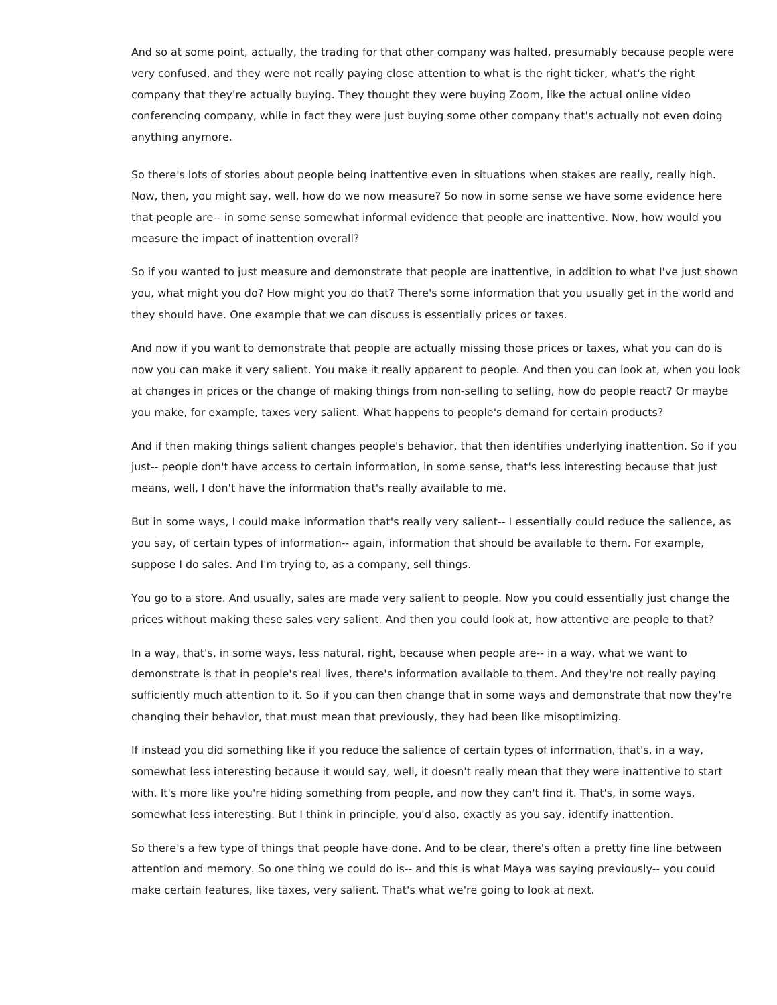And so at some point, actually, the trading for that other company was halted, presumably because people were very confused, and they were not really paying close attention to what is the right ticker, what's the right company that they're actually buying. They thought they were buying Zoom, like the actual online video conferencing company, while in fact they were just buying some other company that's actually not even doing anything anymore.

So there's lots of stories about people being inattentive even in situations when stakes are really, really high. Now, then, you might say, well, how do we now measure? So now in some sense we have some evidence here that people are-- in some sense somewhat informal evidence that people are inattentive. Now, how would you measure the impact of inattention overall?

So if you wanted to just measure and demonstrate that people are inattentive, in addition to what I've just shown you, what might you do? How might you do that? There's some information that you usually get in the world and they should have. One example that we can discuss is essentially prices or taxes.

And now if you want to demonstrate that people are actually missing those prices or taxes, what you can do is now you can make it very salient. You make it really apparent to people. And then you can look at, when you look at changes in prices or the change of making things from non-selling to selling, how do people react? Or maybe you make, for example, taxes very salient. What happens to people's demand for certain products?

And if then making things salient changes people's behavior, that then identifies underlying inattention. So if you just-- people don't have access to certain information, in some sense, that's less interesting because that just means, well, I don't have the information that's really available to me.

But in some ways, I could make information that's really very salient-- I essentially could reduce the salience, as you say, of certain types of information-- again, information that should be available to them. For example, suppose I do sales. And I'm trying to, as a company, sell things.

You go to a store. And usually, sales are made very salient to people. Now you could essentially just change the prices without making these sales very salient. And then you could look at, how attentive are people to that?

In a way, that's, in some ways, less natural, right, because when people are-- in a way, what we want to demonstrate is that in people's real lives, there's information available to them. And they're not really paying sufficiently much attention to it. So if you can then change that in some ways and demonstrate that now they're changing their behavior, that must mean that previously, they had been like misoptimizing.

If instead you did something like if you reduce the salience of certain types of information, that's, in a way, somewhat less interesting because it would say, well, it doesn't really mean that they were inattentive to start with. It's more like you're hiding something from people, and now they can't find it. That's, in some ways, somewhat less interesting. But I think in principle, you'd also, exactly as you say, identify inattention.

So there's a few type of things that people have done. And to be clear, there's often a pretty fine line between attention and memory. So one thing we could do is-- and this is what Maya was saying previously-- you could make certain features, like taxes, very salient. That's what we're going to look at next.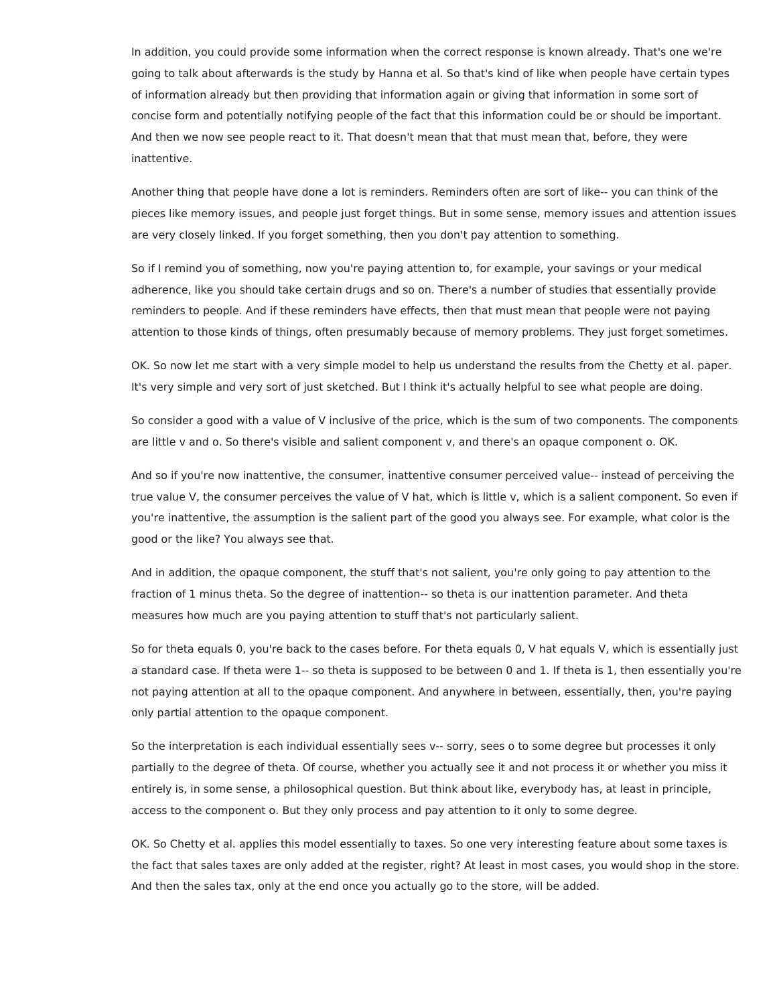In addition, you could provide some information when the correct response is known already. That's one we're going to talk about afterwards is the study by Hanna et al. So that's kind of like when people have certain types of information already but then providing that information again or giving that information in some sort of concise form and potentially notifying people of the fact that this information could be or should be important. And then we now see people react to it. That doesn't mean that that must mean that, before, they were inattentive.

Another thing that people have done a lot is reminders. Reminders often are sort of like-- you can think of the pieces like memory issues, and people just forget things. But in some sense, memory issues and attention issues are very closely linked. If you forget something, then you don't pay attention to something.

So if I remind you of something, now you're paying attention to, for example, your savings or your medical adherence, like you should take certain drugs and so on. There's a number of studies that essentially provide reminders to people. And if these reminders have effects, then that must mean that people were not paying attention to those kinds of things, often presumably because of memory problems. They just forget sometimes.

OK. So now let me start with a very simple model to help us understand the results from the Chetty et al. paper. It's very simple and very sort of just sketched. But I think it's actually helpful to see what people are doing.

So consider a good with a value of V inclusive of the price, which is the sum of two components. The components are little v and o. So there's visible and salient component v, and there's an opaque component o. OK.

And so if you're now inattentive, the consumer, inattentive consumer perceived value-- instead of perceiving the true value V, the consumer perceives the value of V hat, which is little v, which is a salient component. So even if you're inattentive, the assumption is the salient part of the good you always see. For example, what color is the good or the like? You always see that.

And in addition, the opaque component, the stuff that's not salient, you're only going to pay attention to the fraction of 1 minus theta. So the degree of inattention-- so theta is our inattention parameter. And theta measures how much are you paying attention to stuff that's not particularly salient.

So for theta equals 0, you're back to the cases before. For theta equals 0, V hat equals V, which is essentially just a standard case. If theta were 1-- so theta is supposed to be between 0 and 1. If theta is 1, then essentially you're not paying attention at all to the opaque component. And anywhere in between, essentially, then, you're paying only partial attention to the opaque component.

So the interpretation is each individual essentially sees v-- sorry, sees o to some degree but processes it only partially to the degree of theta. Of course, whether you actually see it and not process it or whether you miss it entirely is, in some sense, a philosophical question. But think about like, everybody has, at least in principle, access to the component o. But they only process and pay attention to it only to some degree.

OK. So Chetty et al. applies this model essentially to taxes. So one very interesting feature about some taxes is the fact that sales taxes are only added at the register, right? At least in most cases, you would shop in the store. And then the sales tax, only at the end once you actually go to the store, will be added.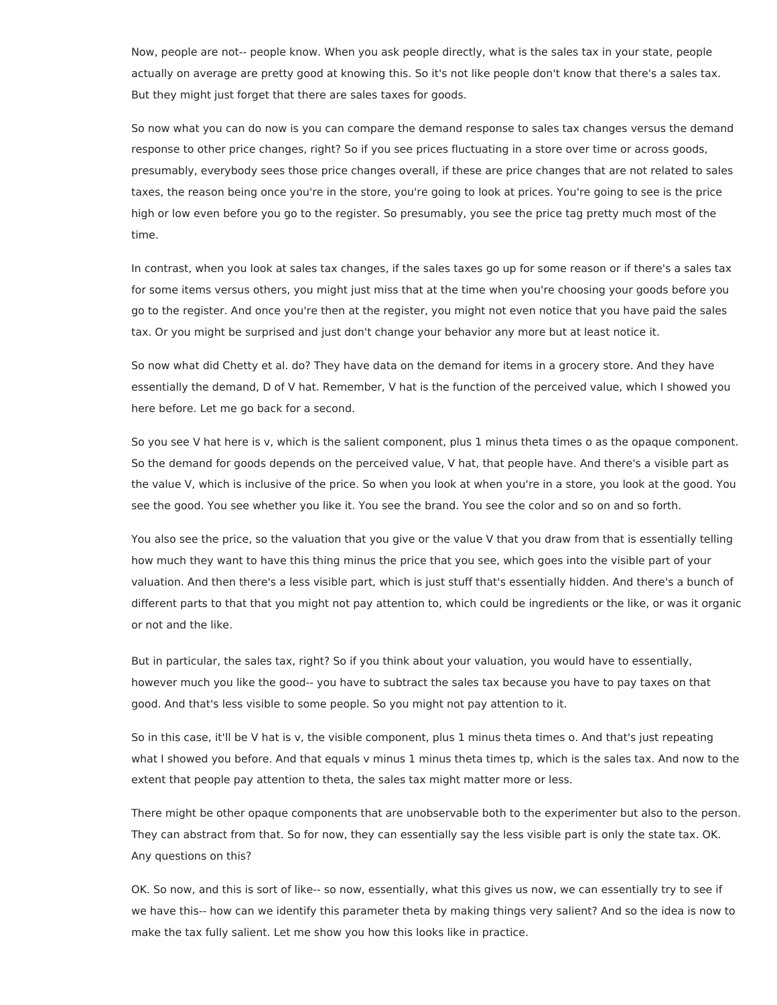Now, people are not-- people know. When you ask people directly, what is the sales tax in your state, people actually on average are pretty good at knowing this. So it's not like people don't know that there's a sales tax. But they might just forget that there are sales taxes for goods.

So now what you can do now is you can compare the demand response to sales tax changes versus the demand response to other price changes, right? So if you see prices fluctuating in a store over time or across goods, presumably, everybody sees those price changes overall, if these are price changes that are not related to sales taxes, the reason being once you're in the store, you're going to look at prices. You're going to see is the price high or low even before you go to the register. So presumably, you see the price tag pretty much most of the time.

In contrast, when you look at sales tax changes, if the sales taxes go up for some reason or if there's a sales tax for some items versus others, you might just miss that at the time when you're choosing your goods before you go to the register. And once you're then at the register, you might not even notice that you have paid the sales tax. Or you might be surprised and just don't change your behavior any more but at least notice it.

So now what did Chetty et al. do? They have data on the demand for items in a grocery store. And they have essentially the demand, D of V hat. Remember, V hat is the function of the perceived value, which I showed you here before. Let me go back for a second.

So you see V hat here is v, which is the salient component, plus 1 minus theta times o as the opaque component. So the demand for goods depends on the perceived value, V hat, that people have. And there's a visible part as the value V, which is inclusive of the price. So when you look at when you're in a store, you look at the good. You see the good. You see whether you like it. You see the brand. You see the color and so on and so forth.

You also see the price, so the valuation that you give or the value V that you draw from that is essentially telling how much they want to have this thing minus the price that you see, which goes into the visible part of your valuation. And then there's a less visible part, which is just stuff that's essentially hidden. And there's a bunch of different parts to that that you might not pay attention to, which could be ingredients or the like, or was it organic or not and the like.

But in particular, the sales tax, right? So if you think about your valuation, you would have to essentially, however much you like the good-- you have to subtract the sales tax because you have to pay taxes on that good. And that's less visible to some people. So you might not pay attention to it.

So in this case, it'll be V hat is v, the visible component, plus 1 minus theta times o. And that's just repeating what I showed you before. And that equals v minus 1 minus theta times tp, which is the sales tax. And now to the extent that people pay attention to theta, the sales tax might matter more or less.

There might be other opaque components that are unobservable both to the experimenter but also to the person. They can abstract from that. So for now, they can essentially say the less visible part is only the state tax. OK. Any questions on this?

OK. So now, and this is sort of like-- so now, essentially, what this gives us now, we can essentially try to see if we have this-- how can we identify this parameter theta by making things very salient? And so the idea is now to make the tax fully salient. Let me show you how this looks like in practice.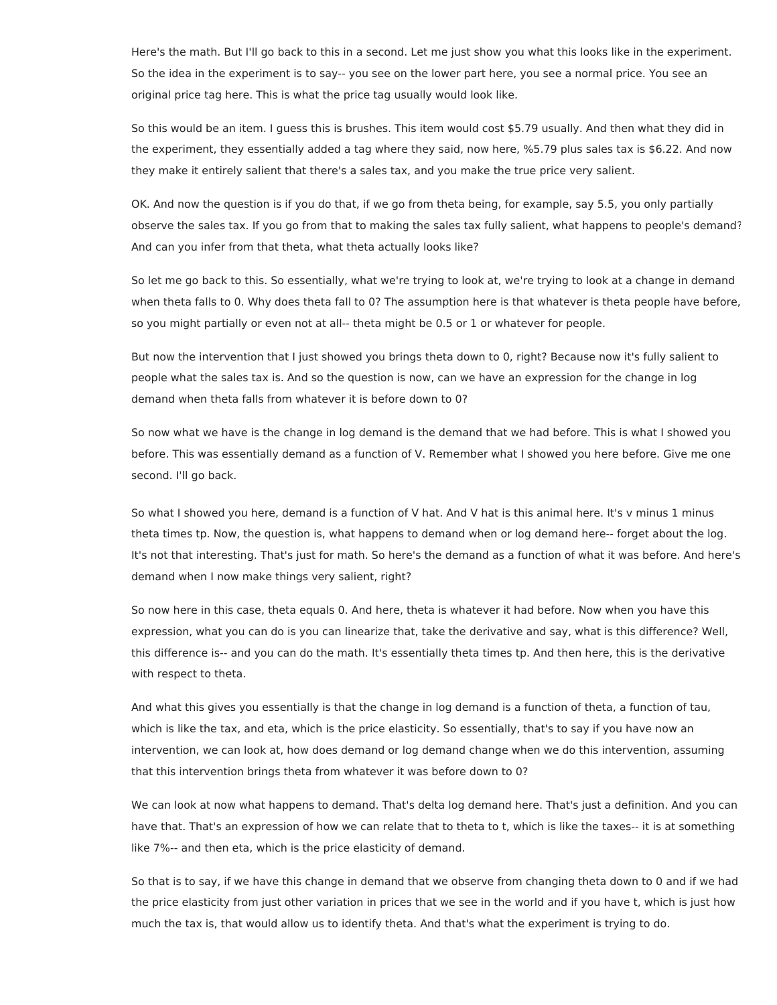Here's the math. But I'll go back to this in a second. Let me just show you what this looks like in the experiment. So the idea in the experiment is to say-- you see on the lower part here, you see a normal price. You see an original price tag here. This is what the price tag usually would look like.

So this would be an item. I guess this is brushes. This item would cost \$5.79 usually. And then what they did in the experiment, they essentially added a tag where they said, now here, %5.79 plus sales tax is \$6.22. And now they make it entirely salient that there's a sales tax, and you make the true price very salient.

OK. And now the question is if you do that, if we go from theta being, for example, say 5.5, you only partially observe the sales tax. If you go from that to making the sales tax fully salient, what happens to people's demand? And can you infer from that theta, what theta actually looks like?

So let me go back to this. So essentially, what we're trying to look at, we're trying to look at a change in demand when theta falls to 0. Why does theta fall to 0? The assumption here is that whatever is theta people have before, so you might partially or even not at all-- theta might be 0.5 or 1 or whatever for people.

But now the intervention that I just showed you brings theta down to 0, right? Because now it's fully salient to people what the sales tax is. And so the question is now, can we have an expression for the change in log demand when theta falls from whatever it is before down to 0?

So now what we have is the change in log demand is the demand that we had before. This is what I showed you before. This was essentially demand as a function of V. Remember what I showed you here before. Give me one second. I'll go back.

So what I showed you here, demand is a function of V hat. And V hat is this animal here. It's v minus 1 minus theta times tp. Now, the question is, what happens to demand when or log demand here-- forget about the log. It's not that interesting. That's just for math. So here's the demand as a function of what it was before. And here's demand when I now make things very salient, right?

So now here in this case, theta equals 0. And here, theta is whatever it had before. Now when you have this expression, what you can do is you can linearize that, take the derivative and say, what is this difference? Well, this difference is-- and you can do the math. It's essentially theta times tp. And then here, this is the derivative with respect to theta.

And what this gives you essentially is that the change in log demand is a function of theta, a function of tau, which is like the tax, and eta, which is the price elasticity. So essentially, that's to say if you have now an intervention, we can look at, how does demand or log demand change when we do this intervention, assuming that this intervention brings theta from whatever it was before down to 0?

We can look at now what happens to demand. That's delta log demand here. That's just a definition. And you can have that. That's an expression of how we can relate that to theta to t, which is like the taxes-- it is at something like 7%-- and then eta, which is the price elasticity of demand.

So that is to say, if we have this change in demand that we observe from changing theta down to 0 and if we had the price elasticity from just other variation in prices that we see in the world and if you have t, which is just how much the tax is, that would allow us to identify theta. And that's what the experiment is trying to do.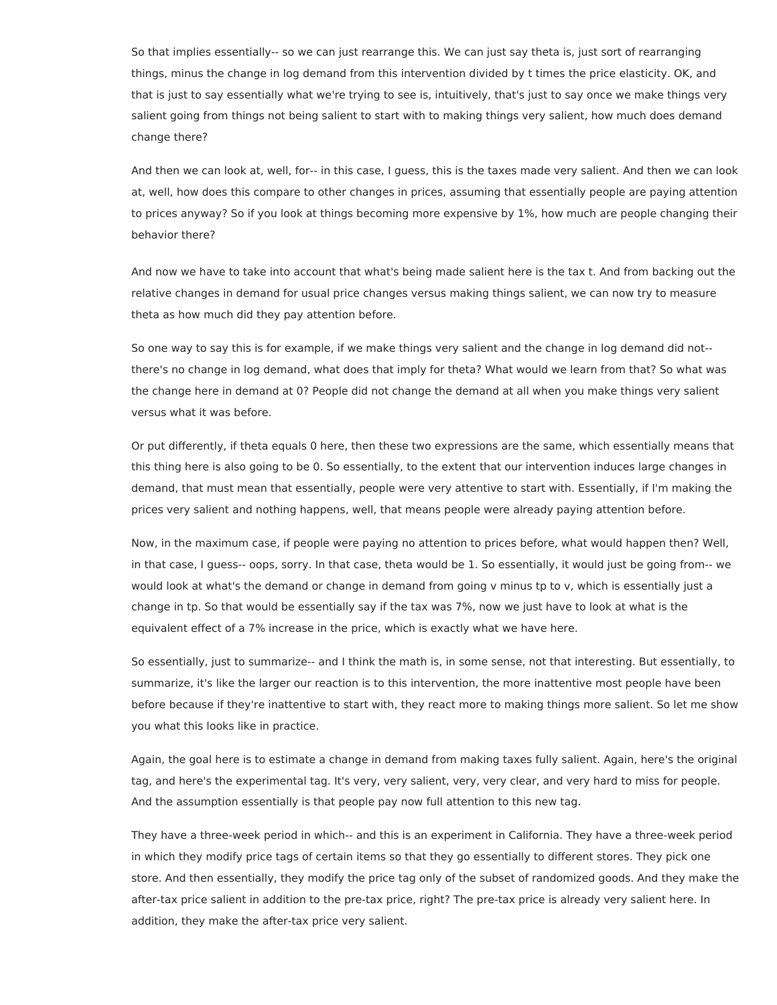So that implies essentially-- so we can just rearrange this. We can just say theta is, just sort of rearranging things, minus the change in log demand from this intervention divided by t times the price elasticity. OK, and that is just to say essentially what we're trying to see is, intuitively, that's just to say once we make things very salient going from things not being salient to start with to making things very salient, how much does demand change there?

And then we can look at, well, for-- in this case, I guess, this is the taxes made very salient. And then we can look at, well, how does this compare to other changes in prices, assuming that essentially people are paying attention to prices anyway? So if you look at things becoming more expensive by 1%, how much are people changing their behavior there?

And now we have to take into account that what's being made salient here is the tax t. And from backing out the relative changes in demand for usual price changes versus making things salient, we can now try to measure theta as how much did they pay attention before.

So one way to say this is for example, if we make things very salient and the change in log demand did not- there's no change in log demand, what does that imply for theta? What would we learn from that? So what was the change here in demand at 0? People did not change the demand at all when you make things very salient versus what it was before.

Or put differently, if theta equals 0 here, then these two expressions are the same, which essentially means that this thing here is also going to be 0. So essentially, to the extent that our intervention induces large changes in demand, that must mean that essentially, people were very attentive to start with. Essentially, if I'm making the prices very salient and nothing happens, well, that means people were already paying attention before.

Now, in the maximum case, if people were paying no attention to prices before, what would happen then? Well, in that case, I guess-- oops, sorry. In that case, theta would be 1. So essentially, it would just be going from-- we would look at what's the demand or change in demand from going v minus tp to v, which is essentially just a change in tp. So that would be essentially say if the tax was 7%, now we just have to look at what is the equivalent effect of a 7% increase in the price, which is exactly what we have here.

So essentially, just to summarize-- and I think the math is, in some sense, not that interesting. But essentially, to summarize, it's like the larger our reaction is to this intervention, the more inattentive most people have been before because if they're inattentive to start with, they react more to making things more salient. So let me show you what this looks like in practice.

Again, the goal here is to estimate a change in demand from making taxes fully salient. Again, here's the original tag, and here's the experimental tag. It's very, very salient, very, very clear, and very hard to miss for people. And the assumption essentially is that people pay now full attention to this new tag.

They have a three-week period in which-- and this is an experiment in California. They have a three-week period in which they modify price tags of certain items so that they go essentially to different stores. They pick one store. And then essentially, they modify the price tag only of the subset of randomized goods. And they make the after-tax price salient in addition to the pre-tax price, right? The pre-tax price is already very salient here. In addition, they make the after-tax price very salient.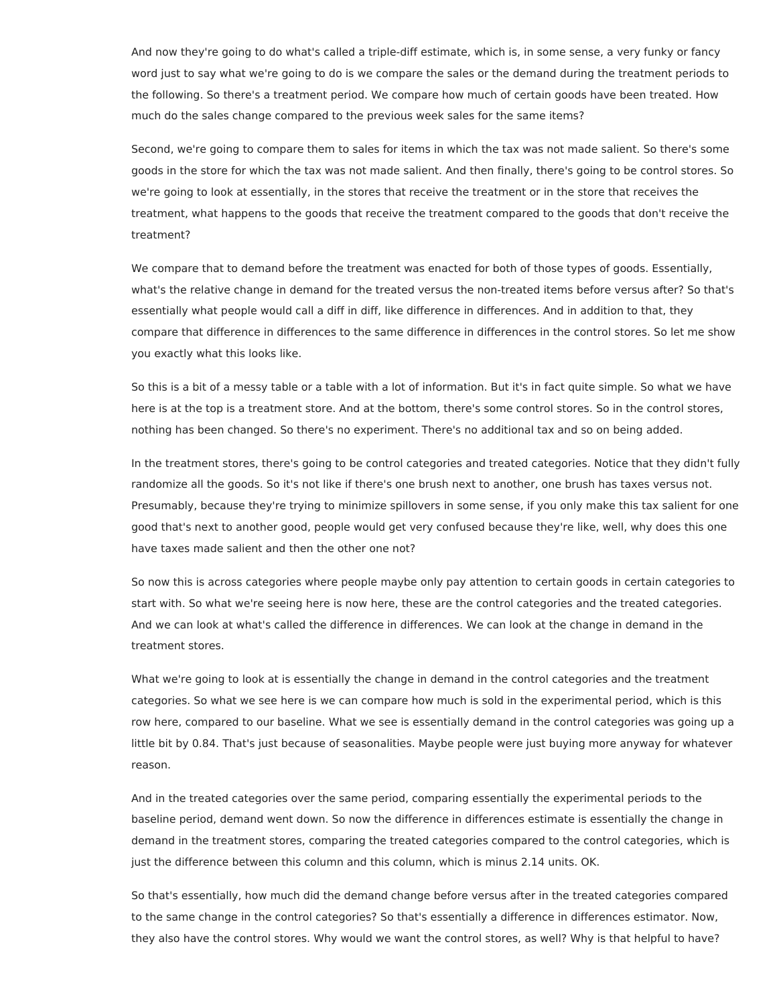And now they're going to do what's called a triple-diff estimate, which is, in some sense, a very funky or fancy word just to say what we're going to do is we compare the sales or the demand during the treatment periods to the following. So there's a treatment period. We compare how much of certain goods have been treated. How much do the sales change compared to the previous week sales for the same items?

Second, we're going to compare them to sales for items in which the tax was not made salient. So there's some goods in the store for which the tax was not made salient. And then finally, there's going to be control stores. So we're going to look at essentially, in the stores that receive the treatment or in the store that receives the treatment, what happens to the goods that receive the treatment compared to the goods that don't receive the treatment?

We compare that to demand before the treatment was enacted for both of those types of goods. Essentially, what's the relative change in demand for the treated versus the non-treated items before versus after? So that's essentially what people would call a diff in diff, like difference in differences. And in addition to that, they compare that difference in differences to the same difference in differences in the control stores. So let me show you exactly what this looks like.

So this is a bit of a messy table or a table with a lot of information. But it's in fact quite simple. So what we have here is at the top is a treatment store. And at the bottom, there's some control stores. So in the control stores, nothing has been changed. So there's no experiment. There's no additional tax and so on being added.

In the treatment stores, there's going to be control categories and treated categories. Notice that they didn't fully randomize all the goods. So it's not like if there's one brush next to another, one brush has taxes versus not. Presumably, because they're trying to minimize spillovers in some sense, if you only make this tax salient for one good that's next to another good, people would get very confused because they're like, well, why does this one have taxes made salient and then the other one not?

So now this is across categories where people maybe only pay attention to certain goods in certain categories to start with. So what we're seeing here is now here, these are the control categories and the treated categories. And we can look at what's called the difference in differences. We can look at the change in demand in the treatment stores.

What we're going to look at is essentially the change in demand in the control categories and the treatment categories. So what we see here is we can compare how much is sold in the experimental period, which is this row here, compared to our baseline. What we see is essentially demand in the control categories was going up a little bit by 0.84. That's just because of seasonalities. Maybe people were just buying more anyway for whatever reason.

And in the treated categories over the same period, comparing essentially the experimental periods to the baseline period, demand went down. So now the difference in differences estimate is essentially the change in demand in the treatment stores, comparing the treated categories compared to the control categories, which is just the difference between this column and this column, which is minus 2.14 units. OK.

So that's essentially, how much did the demand change before versus after in the treated categories compared to the same change in the control categories? So that's essentially a difference in differences estimator. Now, they also have the control stores. Why would we want the control stores, as well? Why is that helpful to have?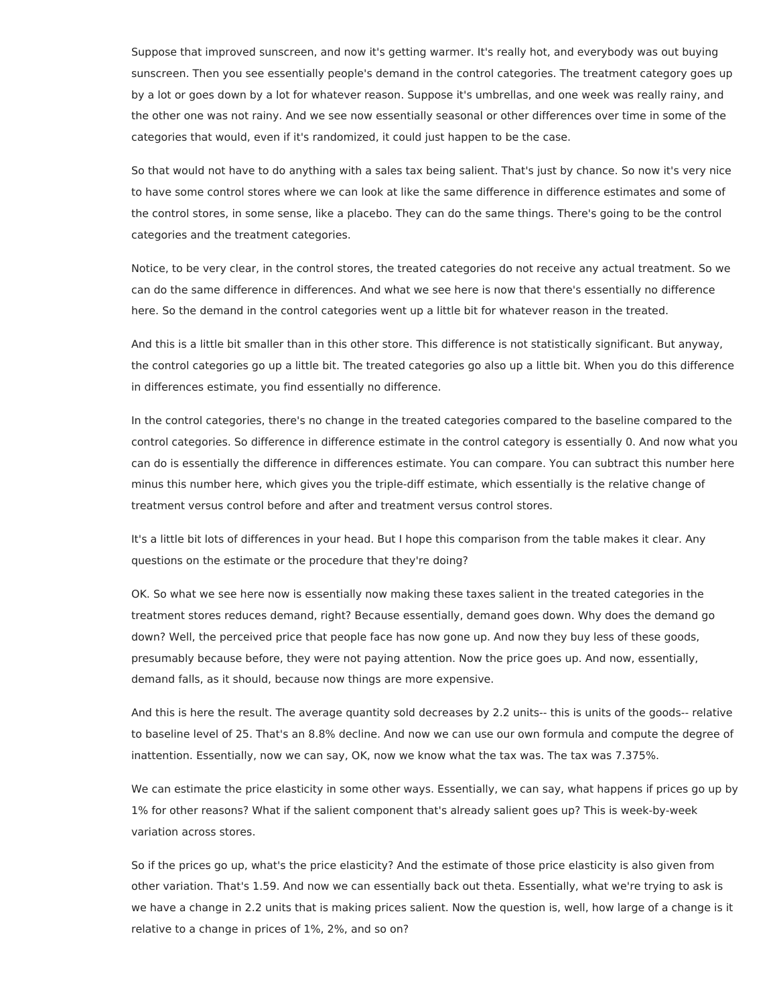Suppose that improved sunscreen, and now it's getting warmer. It's really hot, and everybody was out buying sunscreen. Then you see essentially people's demand in the control categories. The treatment category goes up by a lot or goes down by a lot for whatever reason. Suppose it's umbrellas, and one week was really rainy, and the other one was not rainy. And we see now essentially seasonal or other differences over time in some of the categories that would, even if it's randomized, it could just happen to be the case.

So that would not have to do anything with a sales tax being salient. That's just by chance. So now it's very nice to have some control stores where we can look at like the same difference in difference estimates and some of the control stores, in some sense, like a placebo. They can do the same things. There's going to be the control categories and the treatment categories.

Notice, to be very clear, in the control stores, the treated categories do not receive any actual treatment. So we can do the same difference in differences. And what we see here is now that there's essentially no difference here. So the demand in the control categories went up a little bit for whatever reason in the treated.

And this is a little bit smaller than in this other store. This difference is not statistically significant. But anyway, the control categories go up a little bit. The treated categories go also up a little bit. When you do this difference in differences estimate, you find essentially no difference.

In the control categories, there's no change in the treated categories compared to the baseline compared to the control categories. So difference in difference estimate in the control category is essentially 0. And now what you can do is essentially the difference in differences estimate. You can compare. You can subtract this number here minus this number here, which gives you the triple-diff estimate, which essentially is the relative change of treatment versus control before and after and treatment versus control stores.

It's a little bit lots of differences in your head. But I hope this comparison from the table makes it clear. Any questions on the estimate or the procedure that they're doing?

OK. So what we see here now is essentially now making these taxes salient in the treated categories in the treatment stores reduces demand, right? Because essentially, demand goes down. Why does the demand go down? Well, the perceived price that people face has now gone up. And now they buy less of these goods, presumably because before, they were not paying attention. Now the price goes up. And now, essentially, demand falls, as it should, because now things are more expensive.

And this is here the result. The average quantity sold decreases by 2.2 units-- this is units of the goods-- relative to baseline level of 25. That's an 8.8% decline. And now we can use our own formula and compute the degree of inattention. Essentially, now we can say, OK, now we know what the tax was. The tax was 7.375%.

We can estimate the price elasticity in some other ways. Essentially, we can say, what happens if prices go up by 1% for other reasons? What if the salient component that's already salient goes up? This is week-by-week variation across stores.

So if the prices go up, what's the price elasticity? And the estimate of those price elasticity is also given from other variation. That's 1.59. And now we can essentially back out theta. Essentially, what we're trying to ask is we have a change in 2.2 units that is making prices salient. Now the question is, well, how large of a change is it relative to a change in prices of 1%, 2%, and so on?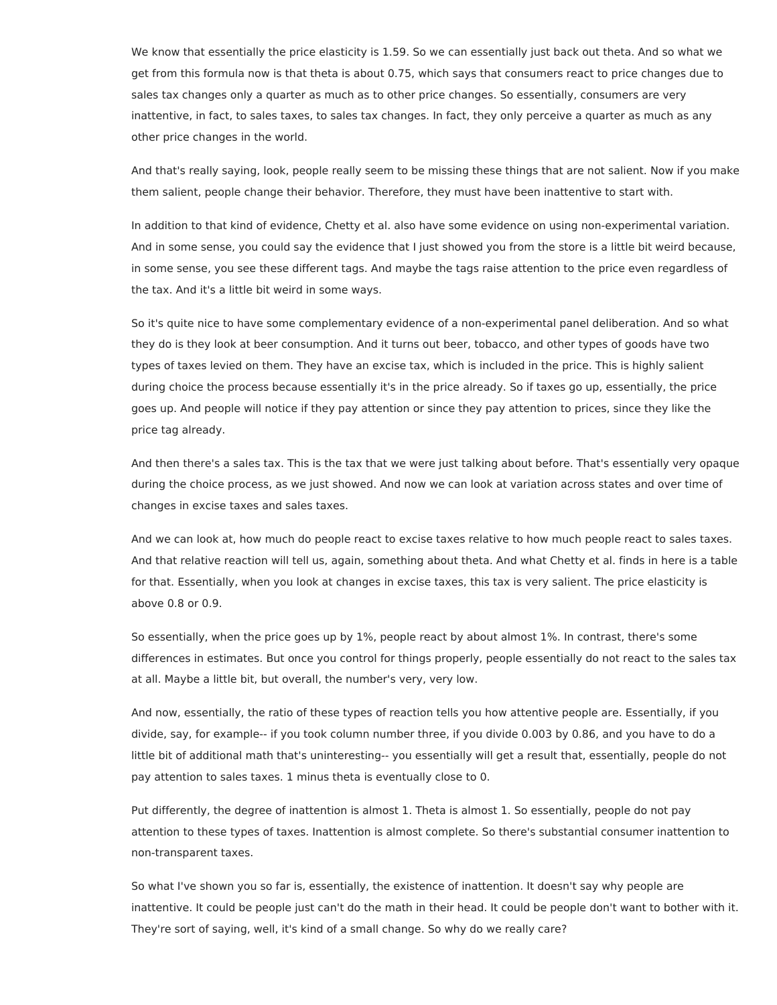We know that essentially the price elasticity is 1.59. So we can essentially just back out theta. And so what we get from this formula now is that theta is about 0.75, which says that consumers react to price changes due to sales tax changes only a quarter as much as to other price changes. So essentially, consumers are very inattentive, in fact, to sales taxes, to sales tax changes. In fact, they only perceive a quarter as much as any other price changes in the world.

And that's really saying, look, people really seem to be missing these things that are not salient. Now if you make them salient, people change their behavior. Therefore, they must have been inattentive to start with.

In addition to that kind of evidence, Chetty et al. also have some evidence on using non-experimental variation. And in some sense, you could say the evidence that I just showed you from the store is a little bit weird because, in some sense, you see these different tags. And maybe the tags raise attention to the price even regardless of the tax. And it's a little bit weird in some ways.

So it's quite nice to have some complementary evidence of a non-experimental panel deliberation. And so what they do is they look at beer consumption. And it turns out beer, tobacco, and other types of goods have two types of taxes levied on them. They have an excise tax, which is included in the price. This is highly salient during choice the process because essentially it's in the price already. So if taxes go up, essentially, the price goes up. And people will notice if they pay attention or since they pay attention to prices, since they like the price tag already.

And then there's a sales tax. This is the tax that we were just talking about before. That's essentially very opaque during the choice process, as we just showed. And now we can look at variation across states and over time of changes in excise taxes and sales taxes.

And we can look at, how much do people react to excise taxes relative to how much people react to sales taxes. And that relative reaction will tell us, again, something about theta. And what Chetty et al. finds in here is a table for that. Essentially, when you look at changes in excise taxes, this tax is very salient. The price elasticity is above 0.8 or 0.9.

So essentially, when the price goes up by 1%, people react by about almost 1%. In contrast, there's some differences in estimates. But once you control for things properly, people essentially do not react to the sales tax at all. Maybe a little bit, but overall, the number's very, very low.

And now, essentially, the ratio of these types of reaction tells you how attentive people are. Essentially, if you divide, say, for example-- if you took column number three, if you divide 0.003 by 0.86, and you have to do a little bit of additional math that's uninteresting-- you essentially will get a result that, essentially, people do not pay attention to sales taxes. 1 minus theta is eventually close to 0.

Put differently, the degree of inattention is almost 1. Theta is almost 1. So essentially, people do not pay attention to these types of taxes. Inattention is almost complete. So there's substantial consumer inattention to non-transparent taxes.

So what I've shown you so far is, essentially, the existence of inattention. It doesn't say why people are inattentive. It could be people just can't do the math in their head. It could be people don't want to bother with it. They're sort of saying, well, it's kind of a small change. So why do we really care?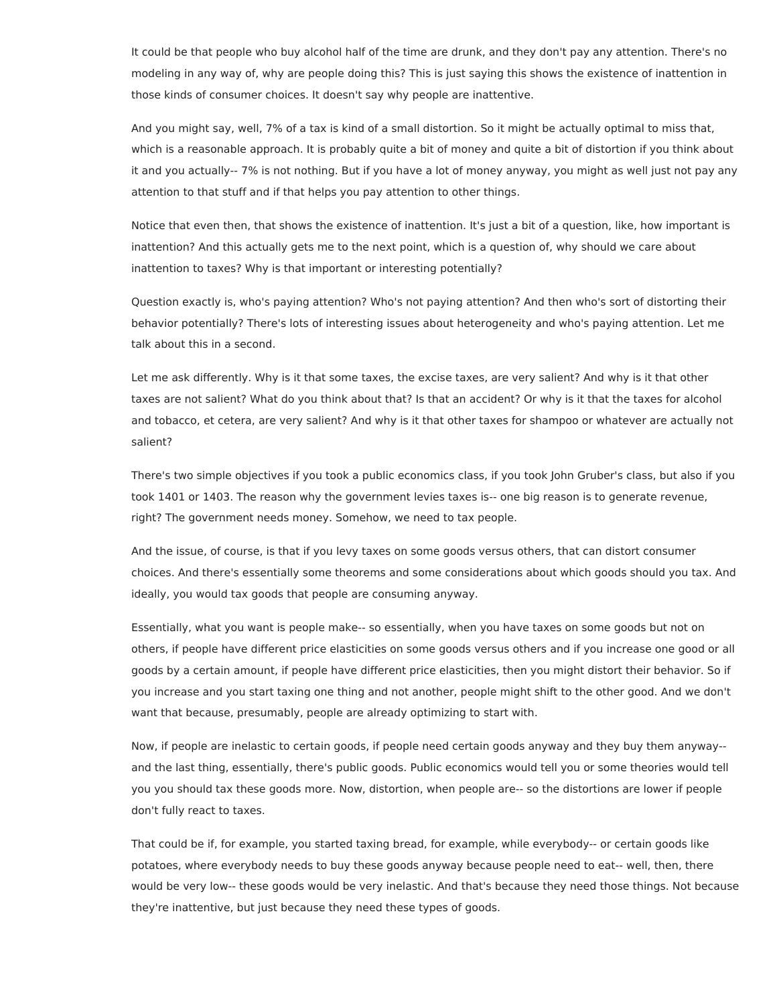It could be that people who buy alcohol half of the time are drunk, and they don't pay any attention. There's no modeling in any way of, why are people doing this? This is just saying this shows the existence of inattention in those kinds of consumer choices. It doesn't say why people are inattentive.

And you might say, well, 7% of a tax is kind of a small distortion. So it might be actually optimal to miss that, which is a reasonable approach. It is probably quite a bit of money and quite a bit of distortion if you think about it and you actually-- 7% is not nothing. But if you have a lot of money anyway, you might as well just not pay any attention to that stuff and if that helps you pay attention to other things.

Notice that even then, that shows the existence of inattention. It's just a bit of a question, like, how important is inattention? And this actually gets me to the next point, which is a question of, why should we care about inattention to taxes? Why is that important or interesting potentially?

Question exactly is, who's paying attention? Who's not paying attention? And then who's sort of distorting their behavior potentially? There's lots of interesting issues about heterogeneity and who's paying attention. Let me talk about this in a second.

Let me ask differently. Why is it that some taxes, the excise taxes, are very salient? And why is it that other taxes are not salient? What do you think about that? Is that an accident? Or why is it that the taxes for alcohol and tobacco, et cetera, are very salient? And why is it that other taxes for shampoo or whatever are actually not salient?

There's two simple objectives if you took a public economics class, if you took John Gruber's class, but also if you took 1401 or 1403. The reason why the government levies taxes is-- one big reason is to generate revenue, right? The government needs money. Somehow, we need to tax people.

And the issue, of course, is that if you levy taxes on some goods versus others, that can distort consumer choices. And there's essentially some theorems and some considerations about which goods should you tax. And ideally, you would tax goods that people are consuming anyway.

Essentially, what you want is people make-- so essentially, when you have taxes on some goods but not on others, if people have different price elasticities on some goods versus others and if you increase one good or all goods by a certain amount, if people have different price elasticities, then you might distort their behavior. So if you increase and you start taxing one thing and not another, people might shift to the other good. And we don't want that because, presumably, people are already optimizing to start with.

Now, if people are inelastic to certain goods, if people need certain goods anyway and they buy them anyway- and the last thing, essentially, there's public goods. Public economics would tell you or some theories would tell you you should tax these goods more. Now, distortion, when people are-- so the distortions are lower if people don't fully react to taxes.

That could be if, for example, you started taxing bread, for example, while everybody-- or certain goods like potatoes, where everybody needs to buy these goods anyway because people need to eat-- well, then, there would be very low-- these goods would be very inelastic. And that's because they need those things. Not because they're inattentive, but just because they need these types of goods.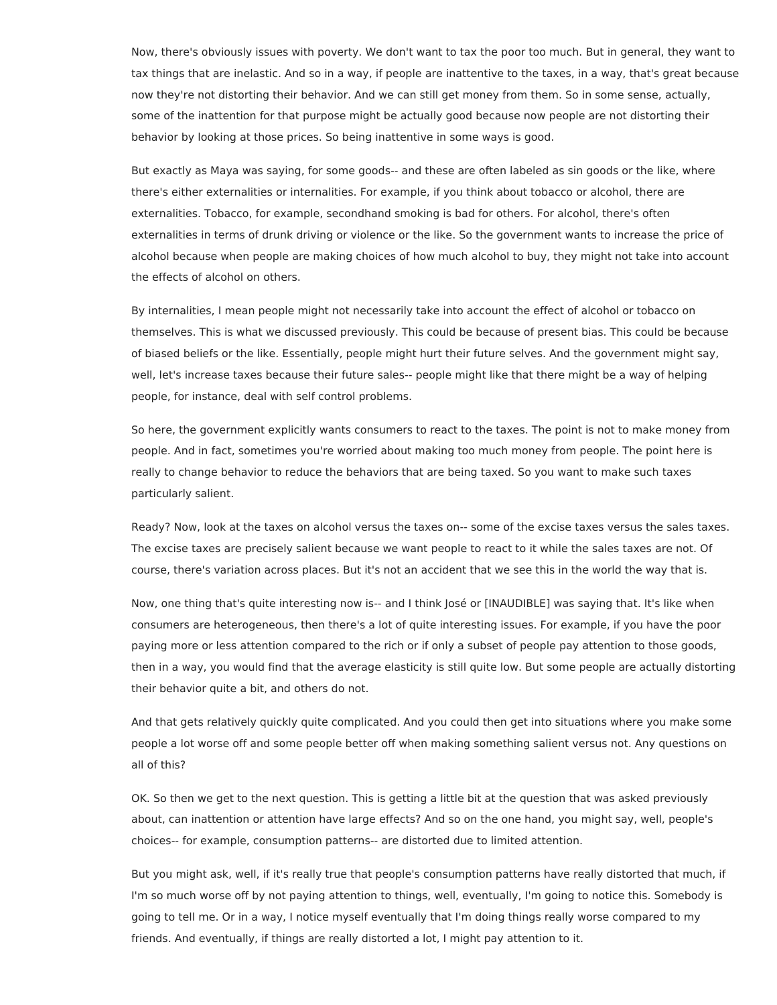Now, there's obviously issues with poverty. We don't want to tax the poor too much. But in general, they want to tax things that are inelastic. And so in a way, if people are inattentive to the taxes, in a way, that's great because now they're not distorting their behavior. And we can still get money from them. So in some sense, actually, some of the inattention for that purpose might be actually good because now people are not distorting their behavior by looking at those prices. So being inattentive in some ways is good.

But exactly as Maya was saying, for some goods-- and these are often labeled as sin goods or the like, where there's either externalities or internalities. For example, if you think about tobacco or alcohol, there are externalities. Tobacco, for example, secondhand smoking is bad for others. For alcohol, there's often externalities in terms of drunk driving or violence or the like. So the government wants to increase the price of alcohol because when people are making choices of how much alcohol to buy, they might not take into account the effects of alcohol on others.

By internalities, I mean people might not necessarily take into account the effect of alcohol or tobacco on themselves. This is what we discussed previously. This could be because of present bias. This could be because of biased beliefs or the like. Essentially, people might hurt their future selves. And the government might say, well, let's increase taxes because their future sales-- people might like that there might be a way of helping people, for instance, deal with self control problems.

So here, the government explicitly wants consumers to react to the taxes. The point is not to make money from people. And in fact, sometimes you're worried about making too much money from people. The point here is really to change behavior to reduce the behaviors that are being taxed. So you want to make such taxes particularly salient.

Ready? Now, look at the taxes on alcohol versus the taxes on-- some of the excise taxes versus the sales taxes. The excise taxes are precisely salient because we want people to react to it while the sales taxes are not. Of course, there's variation across places. But it's not an accident that we see this in the world the way that is.

Now, one thing that's quite interesting now is-- and I think José or [INAUDIBLE] was saying that. It's like when consumers are heterogeneous, then there's a lot of quite interesting issues. For example, if you have the poor paying more or less attention compared to the rich or if only a subset of people pay attention to those goods, then in a way, you would find that the average elasticity is still quite low. But some people are actually distorting their behavior quite a bit, and others do not.

And that gets relatively quickly quite complicated. And you could then get into situations where you make some people a lot worse off and some people better off when making something salient versus not. Any questions on all of this?

OK. So then we get to the next question. This is getting a little bit at the question that was asked previously about, can inattention or attention have large effects? And so on the one hand, you might say, well, people's choices-- for example, consumption patterns-- are distorted due to limited attention.

But you might ask, well, if it's really true that people's consumption patterns have really distorted that much, if I'm so much worse off by not paying attention to things, well, eventually, I'm going to notice this. Somebody is going to tell me. Or in a way, I notice myself eventually that I'm doing things really worse compared to my friends. And eventually, if things are really distorted a lot, I might pay attention to it.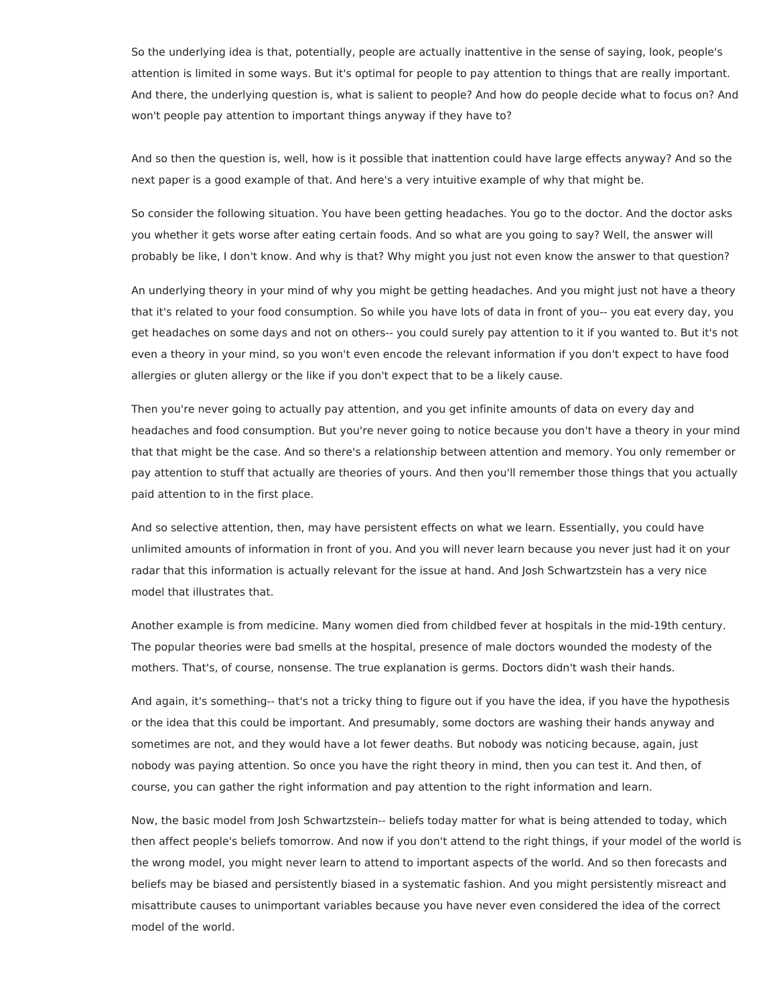So the underlying idea is that, potentially, people are actually inattentive in the sense of saying, look, people's attention is limited in some ways. But it's optimal for people to pay attention to things that are really important. And there, the underlying question is, what is salient to people? And how do people decide what to focus on? And won't people pay attention to important things anyway if they have to?

And so then the question is, well, how is it possible that inattention could have large effects anyway? And so the next paper is a good example of that. And here's a very intuitive example of why that might be.

So consider the following situation. You have been getting headaches. You go to the doctor. And the doctor asks you whether it gets worse after eating certain foods. And so what are you going to say? Well, the answer will probably be like, I don't know. And why is that? Why might you just not even know the answer to that question?

An underlying theory in your mind of why you might be getting headaches. And you might just not have a theory that it's related to your food consumption. So while you have lots of data in front of you-- you eat every day, you get headaches on some days and not on others-- you could surely pay attention to it if you wanted to. But it's not even a theory in your mind, so you won't even encode the relevant information if you don't expect to have food allergies or gluten allergy or the like if you don't expect that to be a likely cause.

Then you're never going to actually pay attention, and you get infinite amounts of data on every day and headaches and food consumption. But you're never going to notice because you don't have a theory in your mind that that might be the case. And so there's a relationship between attention and memory. You only remember or pay attention to stuff that actually are theories of yours. And then you'll remember those things that you actually paid attention to in the first place.

And so selective attention, then, may have persistent effects on what we learn. Essentially, you could have unlimited amounts of information in front of you. And you will never learn because you never just had it on your radar that this information is actually relevant for the issue at hand. And Josh Schwartzstein has a very nice model that illustrates that.

Another example is from medicine. Many women died from childbed fever at hospitals in the mid-19th century. The popular theories were bad smells at the hospital, presence of male doctors wounded the modesty of the mothers. That's, of course, nonsense. The true explanation is germs. Doctors didn't wash their hands.

And again, it's something-- that's not a tricky thing to figure out if you have the idea, if you have the hypothesis or the idea that this could be important. And presumably, some doctors are washing their hands anyway and sometimes are not, and they would have a lot fewer deaths. But nobody was noticing because, again, just nobody was paying attention. So once you have the right theory in mind, then you can test it. And then, of course, you can gather the right information and pay attention to the right information and learn.

Now, the basic model from Josh Schwartzstein-- beliefs today matter for what is being attended to today, which then affect people's beliefs tomorrow. And now if you don't attend to the right things, if your model of the world is the wrong model, you might never learn to attend to important aspects of the world. And so then forecasts and beliefs may be biased and persistently biased in a systematic fashion. And you might persistently misreact and misattribute causes to unimportant variables because you have never even considered the idea of the correct model of the world.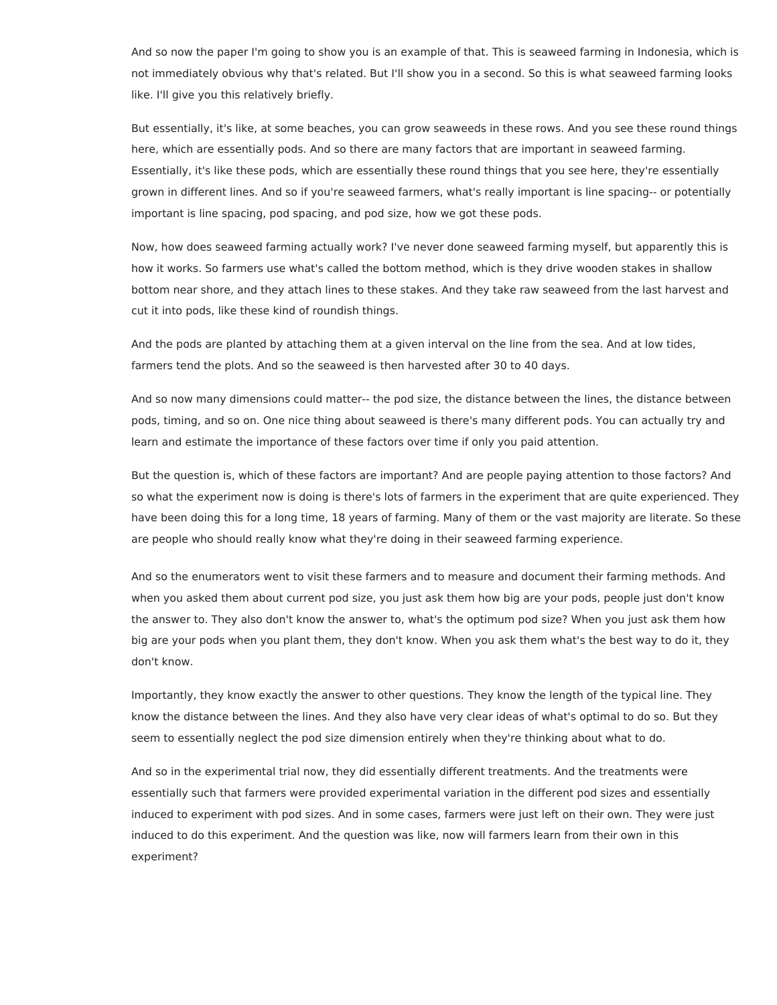And so now the paper I'm going to show you is an example of that. This is seaweed farming in Indonesia, which is not immediately obvious why that's related. But I'll show you in a second. So this is what seaweed farming looks like. I'll give you this relatively briefly.

But essentially, it's like, at some beaches, you can grow seaweeds in these rows. And you see these round things here, which are essentially pods. And so there are many factors that are important in seaweed farming. Essentially, it's like these pods, which are essentially these round things that you see here, they're essentially grown in different lines. And so if you're seaweed farmers, what's really important is line spacing-- or potentially important is line spacing, pod spacing, and pod size, how we got these pods.

Now, how does seaweed farming actually work? I've never done seaweed farming myself, but apparently this is how it works. So farmers use what's called the bottom method, which is they drive wooden stakes in shallow bottom near shore, and they attach lines to these stakes. And they take raw seaweed from the last harvest and cut it into pods, like these kind of roundish things.

And the pods are planted by attaching them at a given interval on the line from the sea. And at low tides, farmers tend the plots. And so the seaweed is then harvested after 30 to 40 days.

And so now many dimensions could matter-- the pod size, the distance between the lines, the distance between pods, timing, and so on. One nice thing about seaweed is there's many different pods. You can actually try and learn and estimate the importance of these factors over time if only you paid attention.

But the question is, which of these factors are important? And are people paying attention to those factors? And so what the experiment now is doing is there's lots of farmers in the experiment that are quite experienced. They have been doing this for a long time, 18 years of farming. Many of them or the vast majority are literate. So these are people who should really know what they're doing in their seaweed farming experience.

And so the enumerators went to visit these farmers and to measure and document their farming methods. And when you asked them about current pod size, you just ask them how big are your pods, people just don't know the answer to. They also don't know the answer to, what's the optimum pod size? When you just ask them how big are your pods when you plant them, they don't know. When you ask them what's the best way to do it, they don't know.

Importantly, they know exactly the answer to other questions. They know the length of the typical line. They know the distance between the lines. And they also have very clear ideas of what's optimal to do so. But they seem to essentially neglect the pod size dimension entirely when they're thinking about what to do.

And so in the experimental trial now, they did essentially different treatments. And the treatments were essentially such that farmers were provided experimental variation in the different pod sizes and essentially induced to experiment with pod sizes. And in some cases, farmers were just left on their own. They were just induced to do this experiment. And the question was like, now will farmers learn from their own in this experiment?